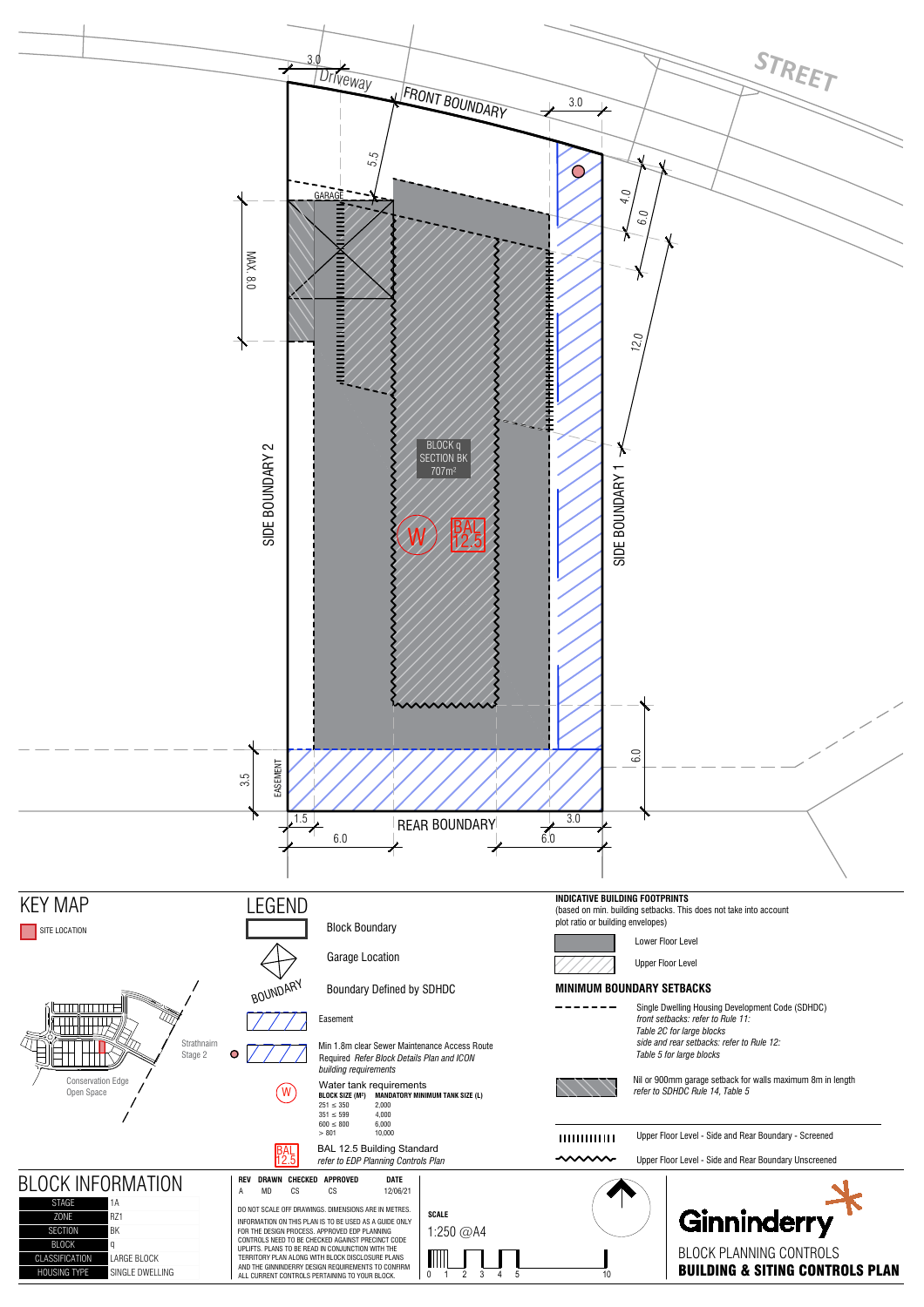